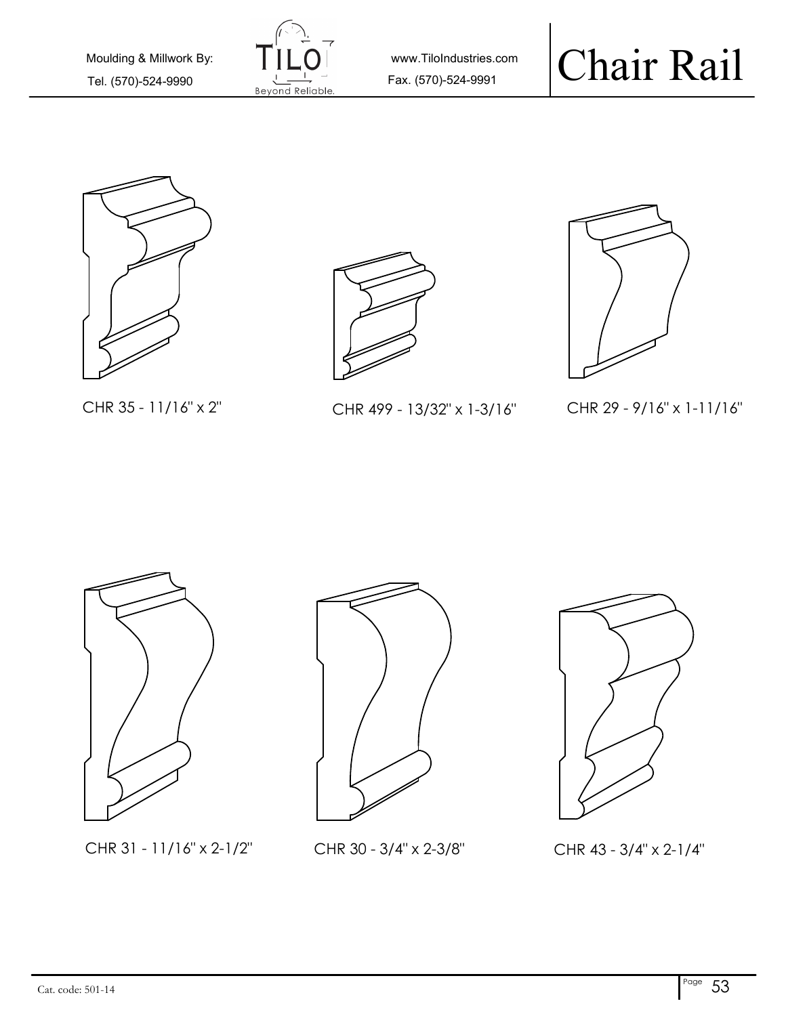

www.TiloIndustries.com







CHR 35 - 11/16" x 2" CHR 499 - 13/32" x 1-3/16"



CHR 29 - 9/16" x 1-11/16"



CHR 31 - 11/16" x 2-1/2" CHR 30 - 3/4" x 2-3/8"



CHR 43 - 3/4" x 2-1/4"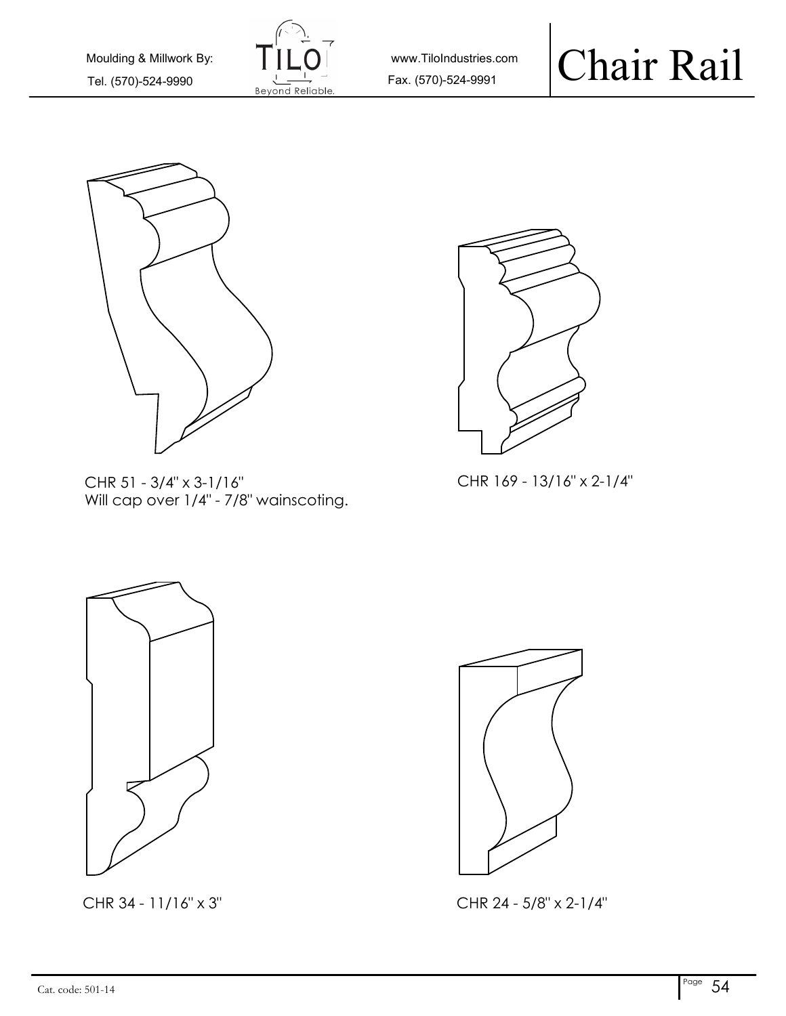

www.TiloIndustries.com



CHR 51 - 3/4" x 3-1/16" CHR 169 - 13/16" x 2-1/4" Will cap over 1/4" - 7/8" wainscoting.







CHR 34 - 11/16" x 3" CHR 24 - 5/8" x 2-1/4"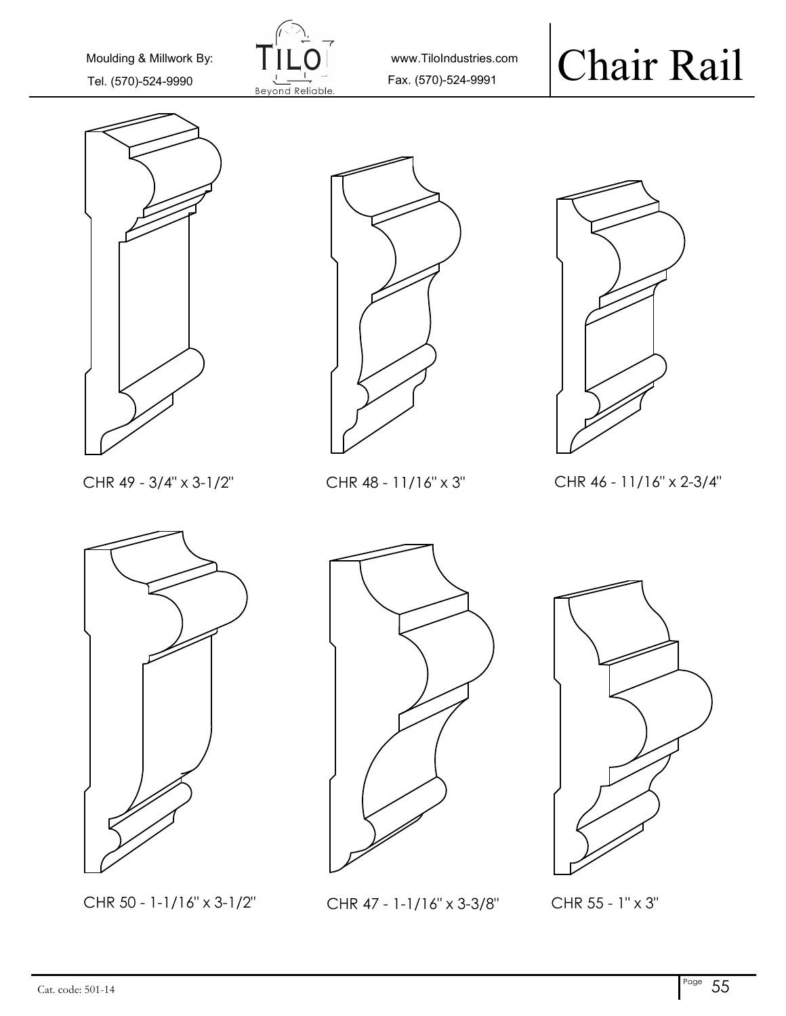

www.TiloIndustries.com







CHR 49 - 3/4" x 3-1/2" CHR 48 - 11/16" x 3" CHR 46 - 11/16" x 2-3/4"



CHR 50 - 1-1/16" x 3-1/2" CHR 47 - 1-1/16" x 3-3/8" CHR 55 - 1" x 3"



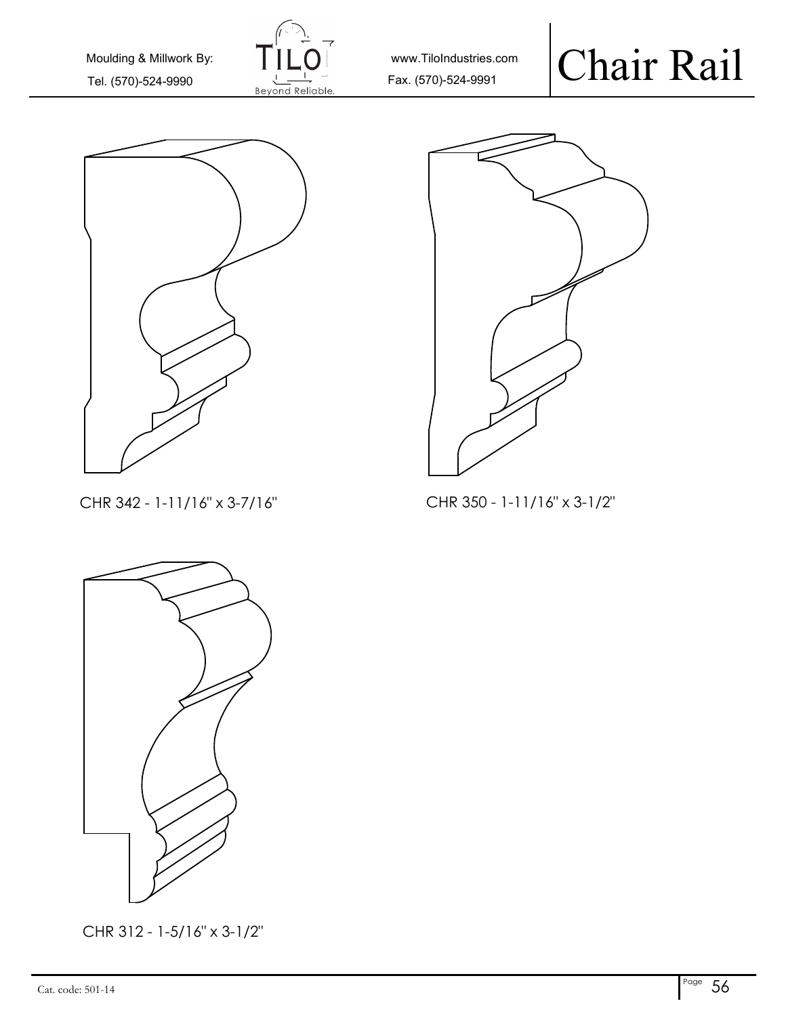

www.TiloIndustries.com

#### Chair Rail





CHR 342 - 1-11/16" x 3-7/16"

CHR 350 - 1-11/16" x 3-1/2"



CHR 312 - 1-5/16" x 3-1/2"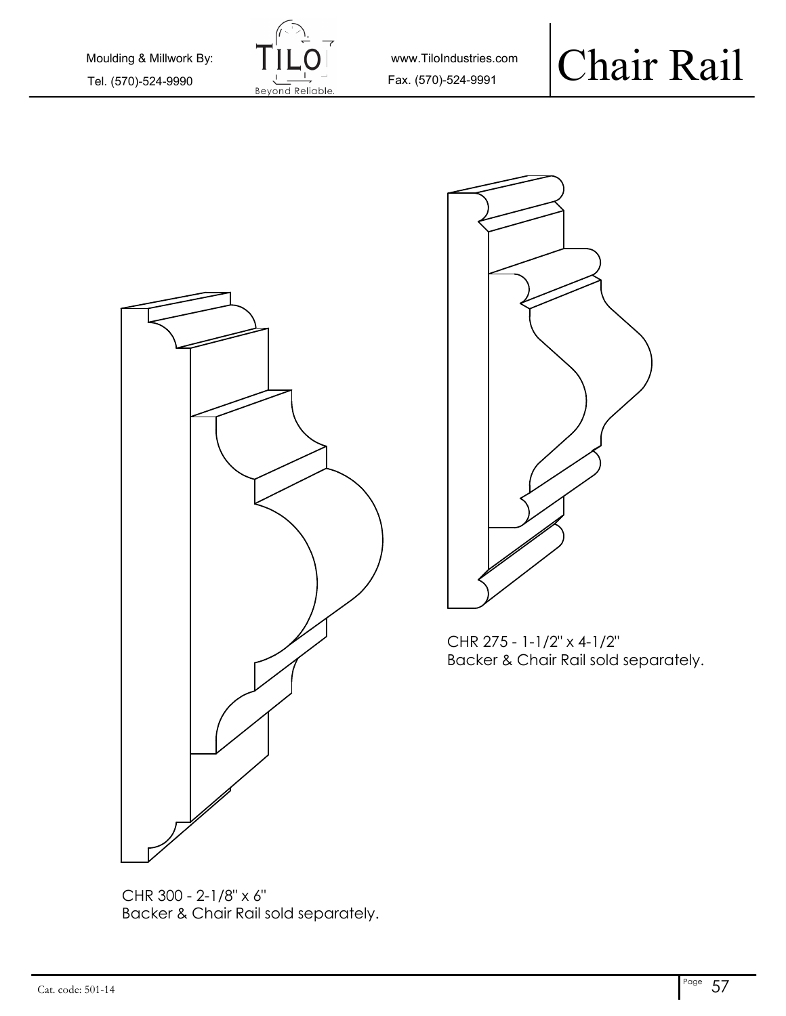

www.TiloIndustries.com





CHR 275 - 1-1/2" x 4-1/2" Backer & Chair Rail sold separately.

CHR 300 - 2-1/8" x 6" Backer & Chair Rail sold separately.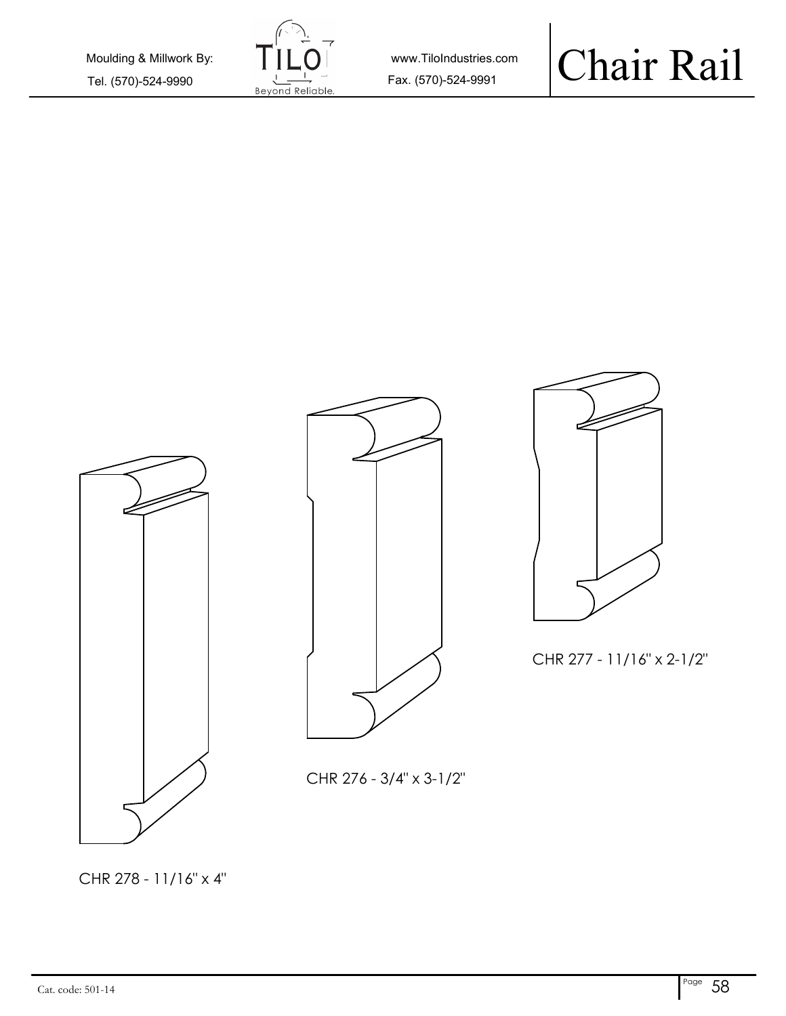

www.TiloIndustries.com

## Chair Rail



CHR 278 - 11/16" x 4"